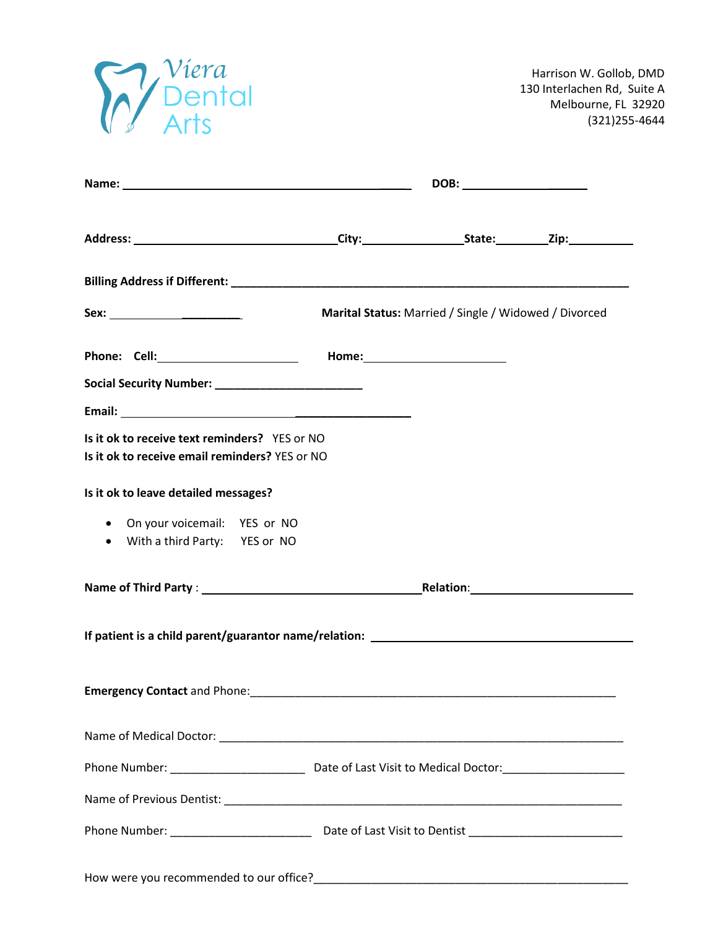

|                                                                                                 | DOB: _________________________ |                                                       |  |
|-------------------------------------------------------------------------------------------------|--------------------------------|-------------------------------------------------------|--|
|                                                                                                 |                                |                                                       |  |
|                                                                                                 |                                |                                                       |  |
|                                                                                                 |                                | Marital Status: Married / Single / Widowed / Divorced |  |
|                                                                                                 |                                |                                                       |  |
| Social Security Number: _________________________                                               |                                |                                                       |  |
|                                                                                                 |                                |                                                       |  |
| Is it ok to receive text reminders? YES or NO<br>Is it ok to receive email reminders? YES or NO |                                |                                                       |  |
| Is it ok to leave detailed messages?                                                            |                                |                                                       |  |
| • On your voicemail: YES or NO                                                                  |                                |                                                       |  |
| • With a third Party: YES or NO                                                                 |                                |                                                       |  |
|                                                                                                 |                                |                                                       |  |
|                                                                                                 |                                |                                                       |  |
|                                                                                                 |                                |                                                       |  |
|                                                                                                 |                                |                                                       |  |
|                                                                                                 |                                |                                                       |  |
|                                                                                                 |                                |                                                       |  |
|                                                                                                 |                                |                                                       |  |
|                                                                                                 |                                |                                                       |  |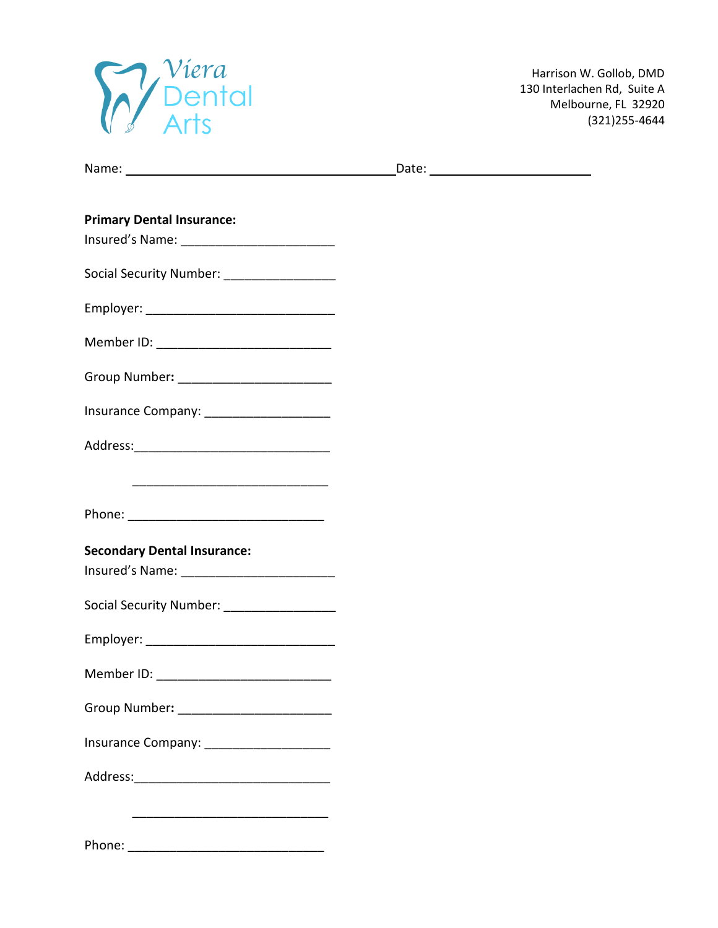

| Name: |       |
|-------|-------|
|       | Date: |

| <b>Primary Dental Insurance:</b>              |  |  |
|-----------------------------------------------|--|--|
|                                               |  |  |
| Social Security Number: ___________________   |  |  |
|                                               |  |  |
|                                               |  |  |
|                                               |  |  |
| Insurance Company: _________________________  |  |  |
|                                               |  |  |
|                                               |  |  |
|                                               |  |  |
| <b>Secondary Dental Insurance:</b>            |  |  |
|                                               |  |  |
| Social Security Number: _____________________ |  |  |
|                                               |  |  |
|                                               |  |  |
|                                               |  |  |
| Insurance Company: ________________________   |  |  |
|                                               |  |  |
|                                               |  |  |

Phone: \_\_\_\_\_\_\_\_\_\_\_\_\_\_\_\_\_\_\_\_\_\_\_\_\_\_\_\_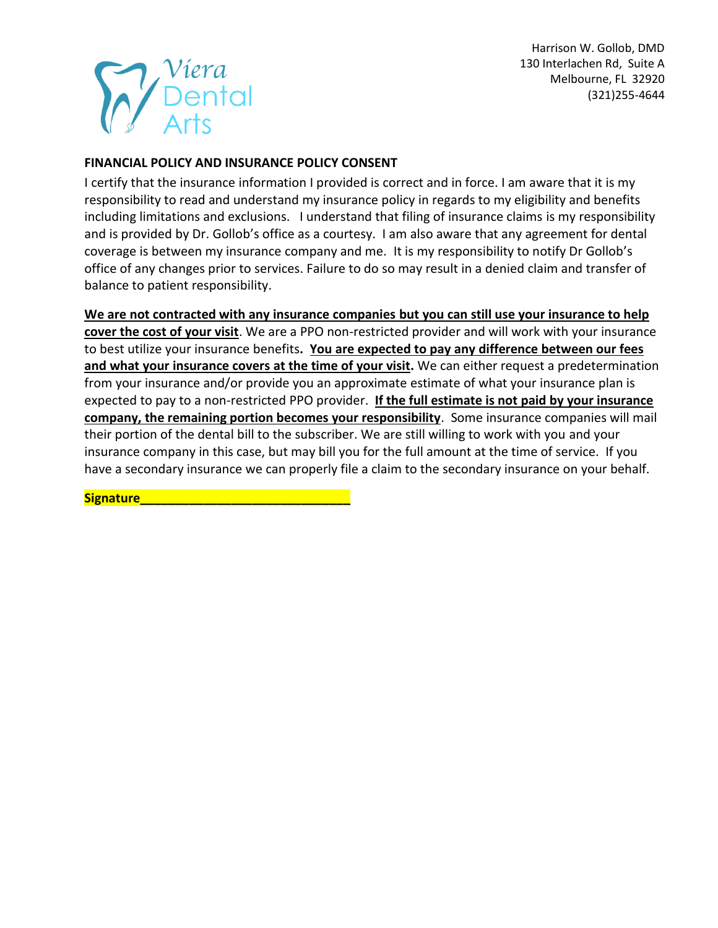## **FINANCIAL POLICY AND INSURANCE POLICY CONSENT**

I certify that the insurance information I provided is correct and in force. I am aware that it is my responsibility to read and understand my insurance policy in regards to my eligibility and benefits including limitations and exclusions. I understand that filing of insurance claims is my responsibility and is provided by Dr. Gollob's office as a courtesy. I am also aware that any agreement for dental coverage is between my insurance company and me. It is my responsibility to notify Dr Gollob's office of any changes prior to services. Failure to do so may result in a denied claim and transfer of balance to patient responsibility.

### **We are not contracted with any insurance companies but you can still use your insurance to help**

**cover the cost of your visit**. We are a PPO non-restricted provider and will work with your insurance to best utilize your insurance benefits**. You are expected to pay any difference between our fees and what your insurance covers at the time of your visit.** We can either request a predetermination from your insurance and/or provide you an approximate estimate of what your insurance plan is expected to pay to a non-restricted PPO provider. **If the full estimate is not paid by your insurance company, the remaining portion becomes your responsibility**. Some insurance companies will mail their portion of the dental bill to the subscriber. We are still willing to work with you and your insurance company in this case, but may bill you for the full amount at the time of service. If you have a secondary insurance we can properly file a claim to the secondary insurance on your behalf.

**Signature** *Complete and Complete and Complete and Complete and Complete and Complete*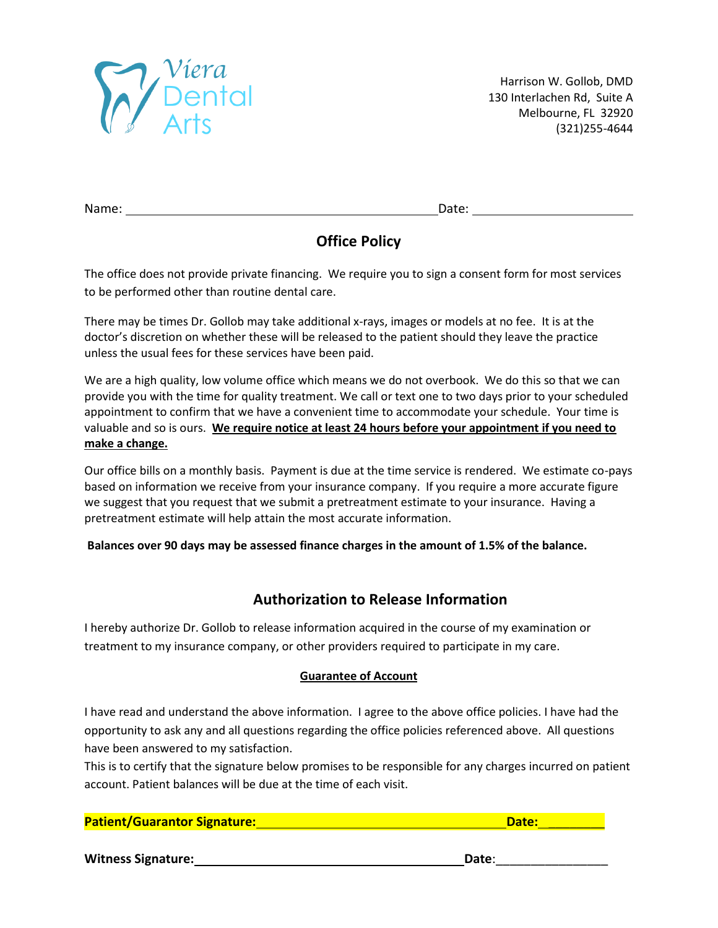

Name: Date:

# **Office Policy**

The office does not provide private financing. We require you to sign a consent form for most services to be performed other than routine dental care.

There may be times Dr. Gollob may take additional x-rays, images or models at no fee. It is at the doctor's discretion on whether these will be released to the patient should they leave the practice unless the usual fees for these services have been paid.

We are a high quality, low volume office which means we do not overbook. We do this so that we can provide you with the time for quality treatment. We call or text one to two days prior to your scheduled appointment to confirm that we have a convenient time to accommodate your schedule. Your time is valuable and so is ours. **We require notice at least 24 hours before your appointment if you need to make a change.**

Our office bills on a monthly basis. Payment is due at the time service is rendered. We estimate co-pays based on information we receive from your insurance company. If you require a more accurate figure we suggest that you request that we submit a pretreatment estimate to your insurance. Having a pretreatment estimate will help attain the most accurate information.

**Balances over 90 days may be assessed finance charges in the amount of 1.5% of the balance.** 

## **Authorization to Release Information**

I hereby authorize Dr. Gollob to release information acquired in the course of my examination or treatment to my insurance company, or other providers required to participate in my care.

### **Guarantee of Account**

I have read and understand the above information. I agree to the above office policies. I have had the opportunity to ask any and all questions regarding the office policies referenced above. All questions have been answered to my satisfaction.

This is to certify that the signature below promises to be responsible for any charges incurred on patient account. Patient balances will be due at the time of each visit.

## **Patient/Guarantor Signature:** <br> **Patient/Guarantor Signature:** <br> **Date:** <br> **Date:** <br> **Date:** <br> **Date:** <br> **Date:** <br> **Date:** <br> **Date:** <br> **Date:** <br> **Date:** <br> **Date:** <br> **Date:** <br> **Date:** <br> **Date:** <br> **Date:** <br> **Date:** <br> **Date:**

Witness Signature: **Witness Signature: Date**: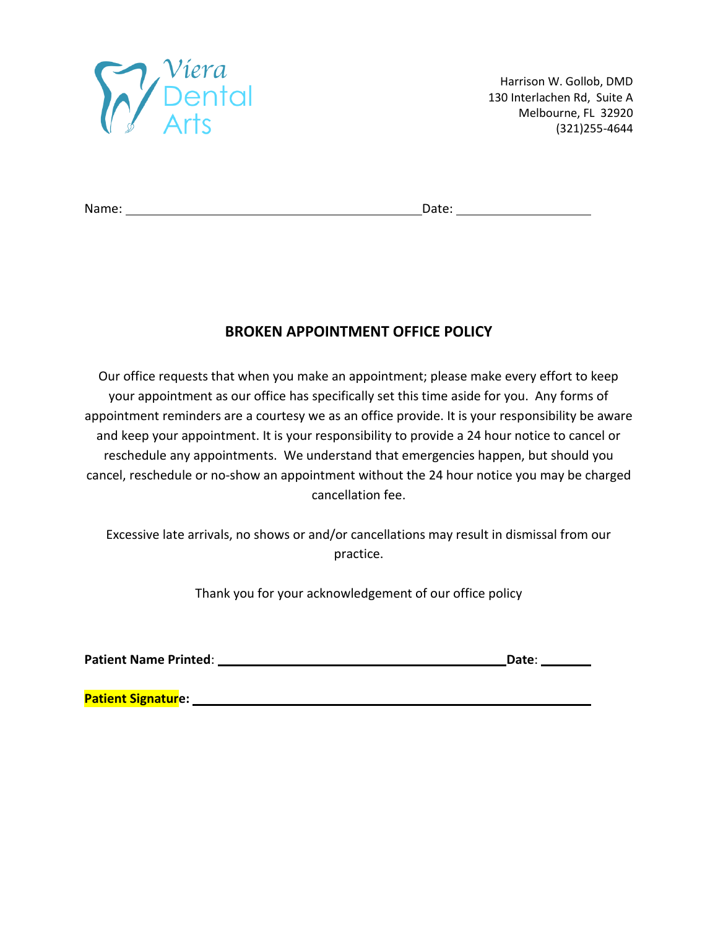

Name: Date:

## **BROKEN APPOINTMENT OFFICE POLICY**

Our office requests that when you make an appointment; please make every effort to keep your appointment as our office has specifically set this time aside for you. Any forms of appointment reminders are a courtesy we as an office provide. It is your responsibility be aware and keep your appointment. It is your responsibility to provide a 24 hour notice to cancel or reschedule any appointments. We understand that emergencies happen, but should you cancel, reschedule or no-show an appointment without the 24 hour notice you may be charged cancellation fee.

Excessive late arrivals, no shows or and/or cancellations may result in dismissal from our practice.

Thank you for your acknowledgement of our office policy

Patient Name Printed: **Date: Date: Date: Date: Date: Date: Date: Date: Date: Date: Date: Date: Date: Date: Date: Date: Date: Date: Date: Date: Date: Date: Date: Date: Date:**

**Patient Signature:**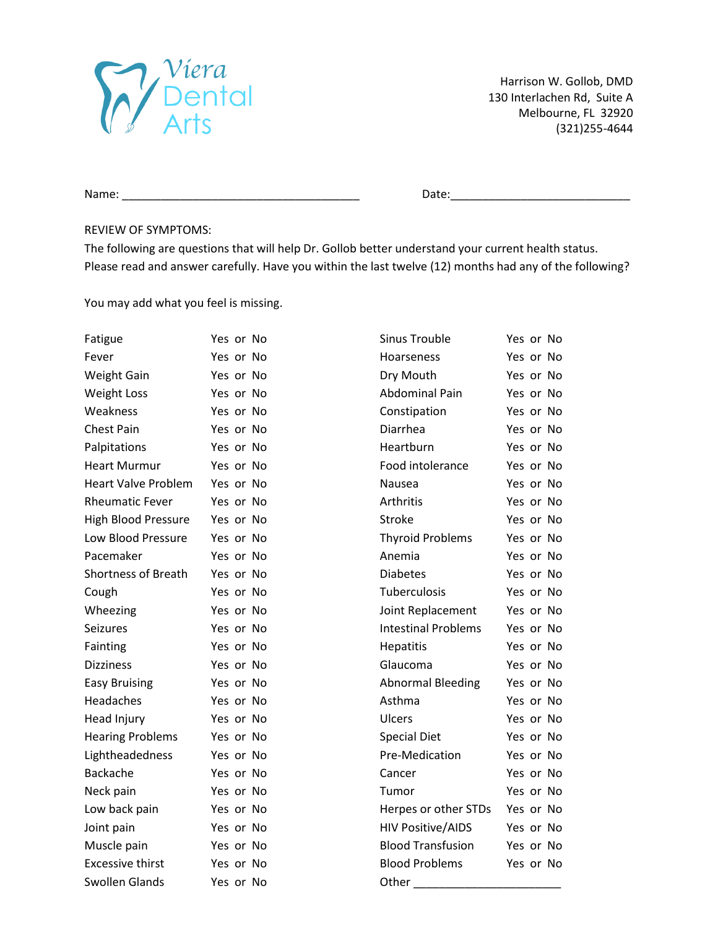

Name: \_\_\_\_\_\_\_\_\_\_\_\_\_\_\_\_\_\_\_\_\_\_\_\_\_\_\_\_\_\_\_\_\_\_\_\_\_ Date:\_\_\_\_\_\_\_\_\_\_\_\_\_\_\_\_\_\_\_\_\_\_\_\_\_\_\_\_

#### REVIEW OF SYMPTOMS:

The following are questions that will help Dr. Gollob better understand your current health status. Please read and answer carefully. Have you within the last twelve (12) months had any of the following?

You may add what you feel is missing.

| Fatigue                    | Yes or No | <b>Sinus Trouble</b>       | Yes or No |
|----------------------------|-----------|----------------------------|-----------|
| Fever                      | Yes or No | Hoarseness                 | Yes or No |
| <b>Weight Gain</b>         | Yes or No | Dry Mouth                  | Yes or No |
| <b>Weight Loss</b>         | Yes or No | <b>Abdominal Pain</b>      | Yes or No |
| Weakness                   | Yes or No | Constipation               | Yes or No |
| <b>Chest Pain</b>          | Yes or No | Diarrhea                   | Yes or No |
| Palpitations               | Yes or No | Heartburn                  | Yes or No |
| <b>Heart Murmur</b>        | Yes or No | Food intolerance           | Yes or No |
| <b>Heart Valve Problem</b> | Yes or No | Nausea                     | Yes or No |
| <b>Rheumatic Fever</b>     | Yes or No | Arthritis                  | Yes or No |
| <b>High Blood Pressure</b> | Yes or No | <b>Stroke</b>              | Yes or No |
| Low Blood Pressure         | Yes or No | <b>Thyroid Problems</b>    | Yes or No |
| Pacemaker                  | Yes or No | Anemia                     | Yes or No |
| <b>Shortness of Breath</b> | Yes or No | <b>Diabetes</b>            | Yes or No |
| Cough                      | Yes or No | Tuberculosis               | Yes or No |
| Wheezing                   | Yes or No | Joint Replacement          | Yes or No |
| Seizures                   | Yes or No | <b>Intestinal Problems</b> | Yes or No |
| Fainting                   | Yes or No | Hepatitis                  | Yes or No |
| <b>Dizziness</b>           | Yes or No | Glaucoma                   | Yes or No |
| <b>Easy Bruising</b>       | Yes or No | <b>Abnormal Bleeding</b>   | Yes or No |
| Headaches                  | Yes or No | Asthma                     | Yes or No |
| Head Injury                | Yes or No | Ulcers                     | Yes or No |
| <b>Hearing Problems</b>    | Yes or No | <b>Special Diet</b>        | Yes or No |
| Lightheadedness            | Yes or No | Pre-Medication             | Yes or No |
| Backache                   | Yes or No | Cancer                     | Yes or No |
| Neck pain                  | Yes or No | Tumor                      | Yes or No |
| Low back pain              | Yes or No | Herpes or other STDs       | Yes or No |
| Joint pain                 | Yes or No | <b>HIV Positive/AIDS</b>   | Yes or No |
| Muscle pain                | Yes or No | <b>Blood Transfusion</b>   | Yes or No |
| <b>Excessive thirst</b>    | Yes or No | <b>Blood Problems</b>      | Yes or No |
| Swollen Glands             | Yes or No | Other                      |           |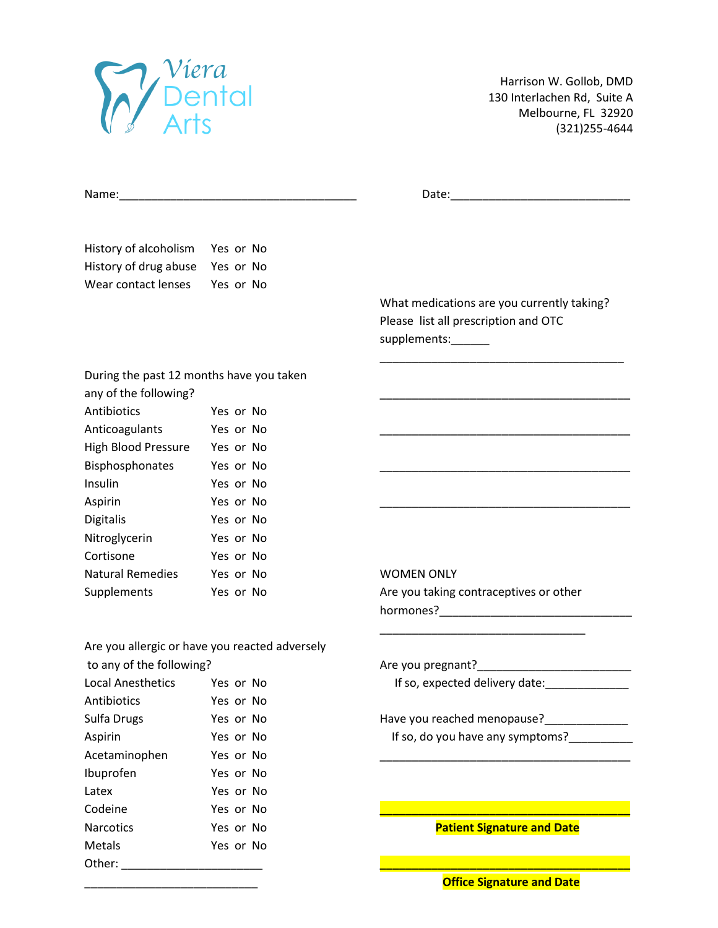

Latex Yes or No

Metals Yes or No

Harrison W. Gollob, DMD 130 Interlachen Rd, Suite A Melbourne, FL 32920 (321)255-4644

| History of alcoholism                    | Yes or No                                      |                                                                                                                                                                                          |
|------------------------------------------|------------------------------------------------|------------------------------------------------------------------------------------------------------------------------------------------------------------------------------------------|
| History of drug abuse                    | Yes or No                                      |                                                                                                                                                                                          |
| Wear contact lenses                      | Yes or No                                      |                                                                                                                                                                                          |
|                                          |                                                | What medications are you currently taking?                                                                                                                                               |
|                                          |                                                | Please list all prescription and OTC                                                                                                                                                     |
|                                          |                                                | supplements:______                                                                                                                                                                       |
| During the past 12 months have you taken |                                                |                                                                                                                                                                                          |
| any of the following?                    |                                                |                                                                                                                                                                                          |
| Antibiotics                              | Yes or No                                      |                                                                                                                                                                                          |
| Anticoagulants                           | Yes or No                                      |                                                                                                                                                                                          |
| High Blood Pressure Yes or No            |                                                |                                                                                                                                                                                          |
| Bisphosphonates                          | Yes or No                                      |                                                                                                                                                                                          |
| Insulin                                  | Yes or No                                      |                                                                                                                                                                                          |
| Aspirin                                  | Yes or No                                      |                                                                                                                                                                                          |
| <b>Digitalis</b>                         | Yes or No                                      |                                                                                                                                                                                          |
| Nitroglycerin                            | Yes or No                                      |                                                                                                                                                                                          |
| Cortisone                                | Yes or No                                      |                                                                                                                                                                                          |
| <b>Natural Remedies</b>                  | Yes or No                                      | <b>WOMEN ONLY</b>                                                                                                                                                                        |
| Supplements                              | Yes or No                                      | Are you taking contraceptives or other                                                                                                                                                   |
|                                          |                                                |                                                                                                                                                                                          |
|                                          | Are you allergic or have you reacted adversely |                                                                                                                                                                                          |
| to any of the following?                 |                                                |                                                                                                                                                                                          |
| <b>Local Anesthetics</b>                 | Yes or No                                      | If so, expected delivery date: ___________                                                                                                                                               |
| Antibiotics                              | Yes or No                                      |                                                                                                                                                                                          |
| Sulfa Drugs                              | Yes or No                                      | Have you reached menopause?<br><u>[</u> [11][12] Have you reached menopause?<br>[12] Have you reached menopause?<br>[12] Have you reached menopause?<br>[12] Have you reached menopause? |
| Aspirin                                  | Yes or No                                      | If so, do you have any symptoms?                                                                                                                                                         |
| Acetaminophen                            | Yes or No                                      |                                                                                                                                                                                          |
| Ibuprofen                                | Yes or No                                      |                                                                                                                                                                                          |

Codeine Yes or No **\_\_\_\_\_\_\_\_\_\_\_\_\_\_\_\_\_\_\_\_\_\_\_\_\_\_\_\_\_\_\_\_\_\_\_\_\_\_\_**

Other: \_\_\_\_\_\_\_\_\_\_\_\_\_\_\_\_\_\_\_\_\_\_ **\_\_\_\_\_\_\_\_\_\_\_\_\_\_\_\_\_\_\_\_\_\_\_\_\_\_\_\_\_\_\_\_\_\_\_\_\_\_\_**

Narcotics **No. 2018** Yes or No. 2018 **Patient Signature and Date** 

\_\_\_\_\_\_\_\_\_\_\_\_\_\_\_\_\_\_\_\_\_\_\_\_\_\_\_ **Office Signature and Date**